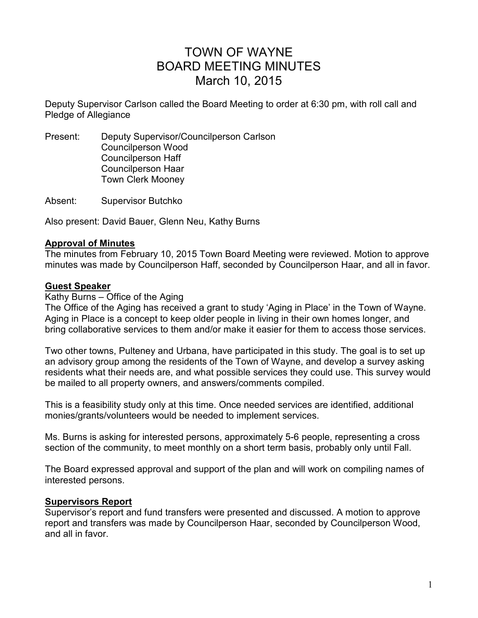# TOWN OF WAYNE BOARD MEETING MINUTES March 10, 2015

Deputy Supervisor Carlson called the Board Meeting to order at 6:30 pm, with roll call and Pledge of Allegiance

Present: Deputy Supervisor/Councilperson Carlson Councilperson Wood Councilperson Haff Councilperson Haar Town Clerk Mooney

Absent: Supervisor Butchko

Also present: David Bauer, Glenn Neu, Kathy Burns

## **Approval of Minutes**

The minutes from February 10, 2015 Town Board Meeting were reviewed. Motion to approve minutes was made by Councilperson Haff, seconded by Councilperson Haar, and all in favor.

## **Guest Speaker**

#### Kathy Burns – Office of the Aging

The Office of the Aging has received a grant to study 'Aging in Place' in the Town of Wayne. Aging in Place is a concept to keep older people in living in their own homes longer, and bring collaborative services to them and/or make it easier for them to access those services.

Two other towns, Pulteney and Urbana, have participated in this study. The goal is to set up an advisory group among the residents of the Town of Wayne, and develop a survey asking residents what their needs are, and what possible services they could use. This survey would be mailed to all property owners, and answers/comments compiled.

This is a feasibility study only at this time. Once needed services are identified, additional monies/grants/volunteers would be needed to implement services.

Ms. Burns is asking for interested persons, approximately 5-6 people, representing a cross section of the community, to meet monthly on a short term basis, probably only until Fall.

The Board expressed approval and support of the plan and will work on compiling names of interested persons.

## **Supervisors Report**

Supervisor's report and fund transfers were presented and discussed. A motion to approve report and transfers was made by Councilperson Haar, seconded by Councilperson Wood, and all in favor.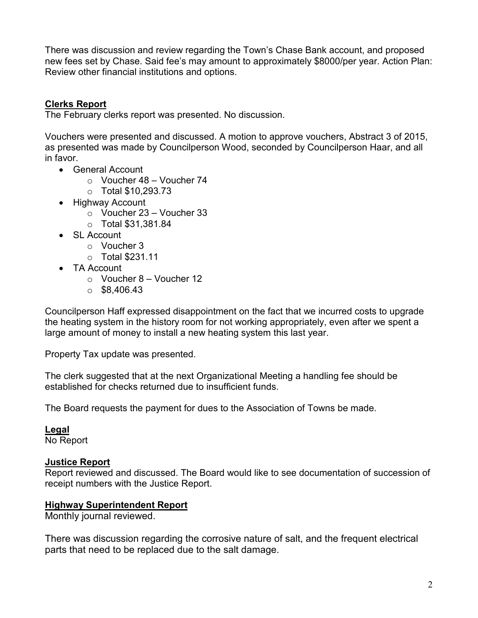There was discussion and review regarding the Town's Chase Bank account, and proposed new fees set by Chase. Said fee's may amount to approximately \$8000/per year. Action Plan: Review other financial institutions and options.

# **Clerks Report**

The February clerks report was presented. No discussion.

Vouchers were presented and discussed. A motion to approve vouchers, Abstract 3 of 2015, as presented was made by Councilperson Wood, seconded by Councilperson Haar, and all in favor.

- General Account
	- o Voucher 48 Voucher 74
	- o Total \$10,293.73
- Highway Account
	- o Voucher 23 Voucher 33
	- o Total \$31,381.84
- SL Account
	- o Voucher 3
	- o Total \$231.11
- TA Account
	- $\circ$  Voucher 8 Voucher 12
	- $\circ$  \$8,406.43

Councilperson Haff expressed disappointment on the fact that we incurred costs to upgrade the heating system in the history room for not working appropriately, even after we spent a large amount of money to install a new heating system this last year.

Property Tax update was presented.

The clerk suggested that at the next Organizational Meeting a handling fee should be established for checks returned due to insufficient funds.

The Board requests the payment for dues to the Association of Towns be made.

**Legal** 

No Report

## **Justice Report**

Report reviewed and discussed. The Board would like to see documentation of succession of receipt numbers with the Justice Report.

# **Highway Superintendent Report**

Monthly journal reviewed.

There was discussion regarding the corrosive nature of salt, and the frequent electrical parts that need to be replaced due to the salt damage.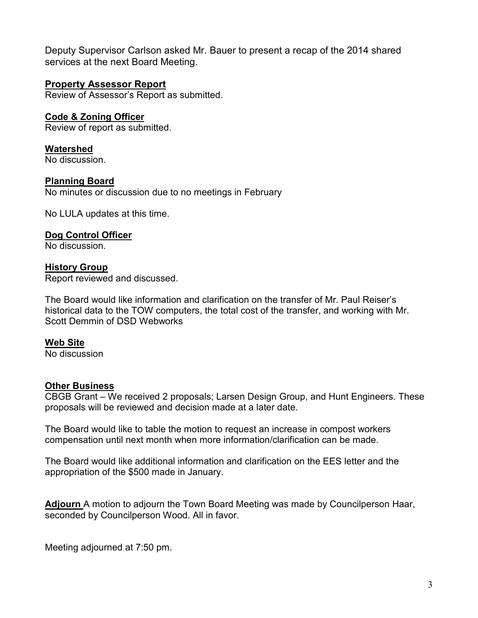Deputy Supervisor Carlson asked Mr. Bauer to present a recap of the 2014 shared services at the next Board Meeting.

# **Property Assessor Report**

Review of Assessor's Report as submitted.

# **Code & Zoning Officer**

Review of report as submitted.

**Watershed**  No discussion.

## **Planning Board**

No minutes or discussion due to no meetings in February

No LULA updates at this time.

#### **Dog Control Officer**

No discussion.

## **History Group**

Report reviewed and discussed.

The Board would like information and clarification on the transfer of Mr. Paul Reiser's historical data to the TOW computers, the total cost of the transfer, and working with Mr. Scott Demmin of DSD Webworks

## **Web Site**

No discussion

## **Other Business**

CBGB Grant – We received 2 proposals; Larsen Design Group, and Hunt Engineers. These proposals will be reviewed and decision made at a later date.

The Board would like to table the motion to request an increase in compost workers compensation until next month when more information/clarification can be made.

The Board would like additional information and clarification on the EES letter and the appropriation of the \$500 made in January.

**Adjourn** A motion to adjourn the Town Board Meeting was made by Councilperson Haar, seconded by Councilperson Wood. All in favor.

Meeting adjourned at 7:50 pm.